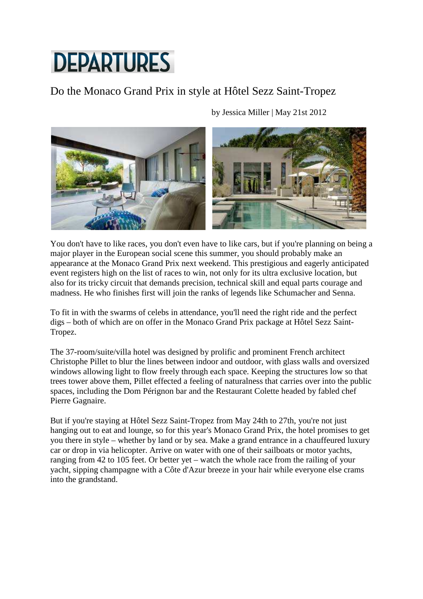## **DEPARTURES**

## Do the Monaco Grand Prix in style at Hôtel Sezz Saint-Tropez

by Jessica Miller | May 21st 2012

You don't have to like races, you don't even have to like cars, but if you're planning on being a major player in the European social scene this summer, you should probably make an appearance at the Monaco Grand Prix next weekend. This prestigious and eagerly anticipated event registers high on the list of races to win, not only for its ultra exclusive location, but also for its tricky circuit that demands precision, technical skill and equal parts courage and madness. He who finishes first will join the ranks of legends like Schumacher and Senna.

To fit in with the swarms of celebs in attendance, you'll need the right ride and the perfect digs – both of which are on offer in the Monaco Grand Prix package at Hôtel Sezz Saint-Tropez.

The 37-room/suite/villa hotel was designed by prolific and prominent French architect Christophe Pillet to blur the lines between indoor and outdoor, with glass walls and oversized windows allowing light to flow freely through each space. Keeping the structures low so that trees tower above them, Pillet effected a feeling of naturalness that carries over into the public spaces, including the Dom Pérignon bar and the Restaurant Colette headed by fabled chef Pierre Gagnaire.

But if you're staying at Hôtel Sezz Saint-Tropez from May 24th to 27th, you're not just hanging out to eat and lounge, so for this year's Monaco Grand Prix, the hotel promises to get you there in style – whether by land or by sea. Make a grand entrance in a chauffeured luxury car or drop in via helicopter. Arrive on water with one of their sailboats or motor yachts, ranging from 42 to 105 feet. Or better yet – watch the whole race from the railing of your yacht, sipping champagne with a Côte d'Azur breeze in your hair while everyone else crams into the grandstand.